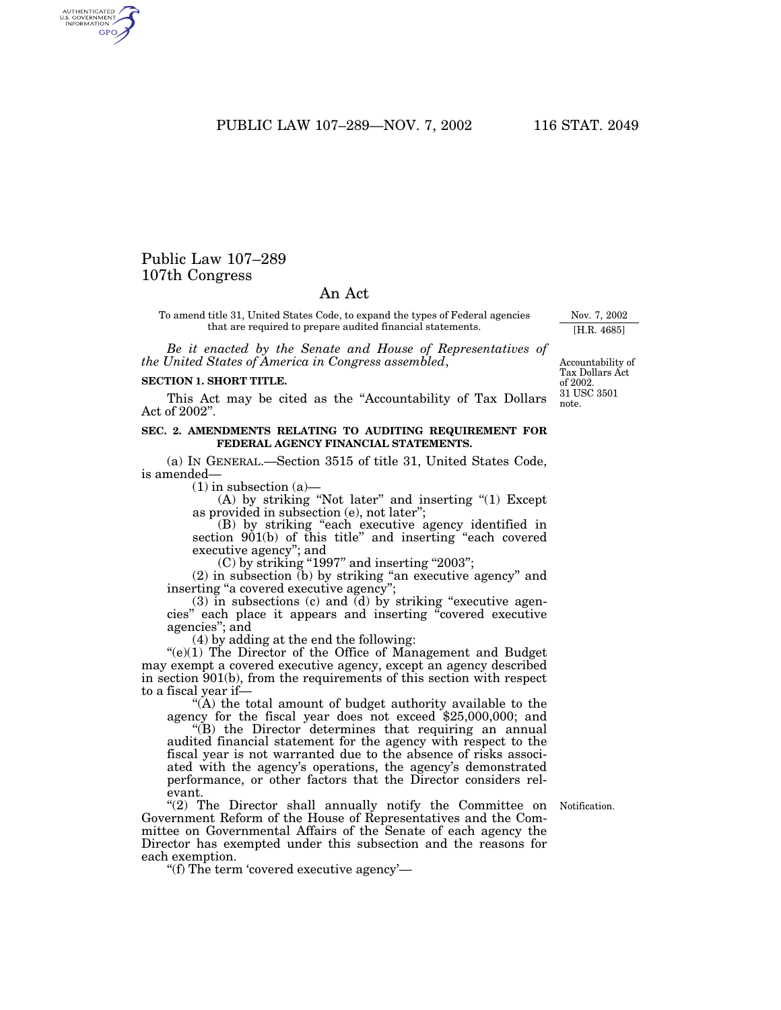PUBLIC LAW 107–289—NOV. 7, 2002 116 STAT. 2049

## Public Law 107–289 107th Congress

AUTHENTICATED<br>U.S. GOVERNMENT<br>INFORMATION **GPO** 

## An Act

To amend title 31, United States Code, to expand the types of Federal agencies that are required to prepare audited financial statements.

*Be it enacted by the Senate and House of Representatives of the United States of America in Congress assembled*,

## **SECTION 1. SHORT TITLE.**

This Act may be cited as the ''Accountability of Tax Dollars Act of 2002''.

## **SEC. 2. AMENDMENTS RELATING TO AUDITING REQUIREMENT FOR FEDERAL AGENCY FINANCIAL STATEMENTS.**

(a) IN GENERAL.—Section 3515 of title 31, United States Code, is amended—

 $(1)$  in subsection  $(a)$ —

(A) by striking "Not later" and inserting "(1) Except as provided in subsection (e), not later'';

(B) by striking ''each executive agency identified in section 901(b) of this title'' and inserting ''each covered executive agency''; and

 $(C)$  by striking "1997" and inserting "2003";

(2) in subsection (b) by striking ''an executive agency'' and inserting ''a covered executive agency'';

 $(3)$  in subsections  $(c)$  and  $(d)$  by striking "executive agencies'' each place it appears and inserting ''covered executive agencies''; and

(4) by adding at the end the following:

 $\degree$ (e)(1) The Director of the Office of Management and Budget may exempt a covered executive agency, except an agency described in section 901(b), from the requirements of this section with respect to a fiscal year if—

''(A) the total amount of budget authority available to the agency for the fiscal year does not exceed \$25,000,000; and

''(B) the Director determines that requiring an annual audited financial statement for the agency with respect to the fiscal year is not warranted due to the absence of risks associated with the agency's operations, the agency's demonstrated performance, or other factors that the Director considers relevant.

"(2) The Director shall annually notify the Committee on Government Reform of the House of Representatives and the Committee on Governmental Affairs of the Senate of each agency the Director has exempted under this subsection and the reasons for each exemption.

''(f) The term 'covered executive agency'—

31 USC 3501 note. Accountability of Tax Dollars Act of 2002.

Notification.

Nov. 7, 2002 [H.R. 4685]